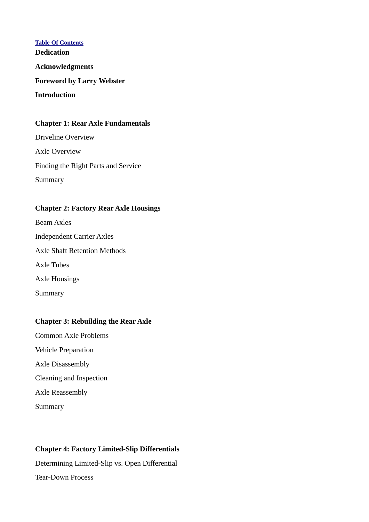**Table Of Contents Dedication Acknowledgments Foreword by Larry Webster Introduction**

## **Chapter 1: Rear Axle Fundamentals**

Driveline Overview Axle Overview Finding the Right Parts and Service Summary

### **Chapter 2: Factory Rear Axle Housings**

Beam Axles Independent Carrier Axles Axle Shaft Retention Methods Axle Tubes Axle Housings Summary

# **Chapter 3: Rebuilding the Rear Axle**

Common Axle Problems

- Vehicle Preparation
- Axle Disassembly
- Cleaning and Inspection

Axle Reassembly

Summary

# **Chapter 4: Factory Limited-Slip Differentials**

Determining Limited-Slip vs. Open Differential Tear-Down Process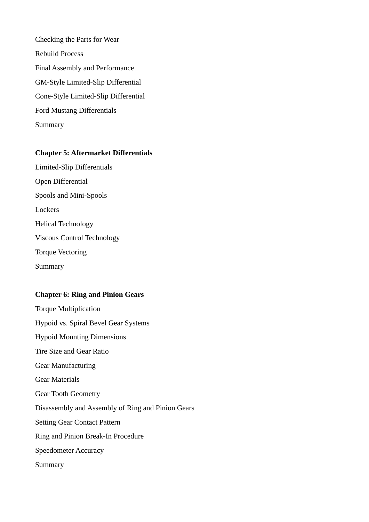Checking the Parts for Wear Rebuild Process Final Assembly and Performance GM-Style Limited-Slip Differential Cone-Style Limited-Slip Differential Ford Mustang Differentials Summary

#### **Chapter 5: Aftermarket Differentials**

Limited-Slip Differentials Open Differential Spools and Mini-Spools **Lockers** Helical Technology Viscous Control Technology Torque Vectoring Summary

#### **Chapter 6: Ring and Pinion Gears**

Torque Multiplication Hypoid vs. Spiral Bevel Gear Systems Hypoid Mounting Dimensions Tire Size and Gear Ratio Gear Manufacturing Gear Materials Gear Tooth Geometry Disassembly and Assembly of Ring and Pinion Gears Setting Gear Contact Pattern Ring and Pinion Break-In Procedure Speedometer Accuracy Summary